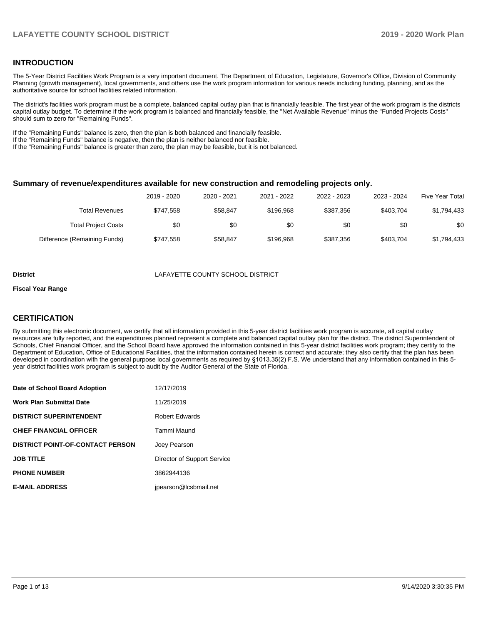# **INTRODUCTION**

The 5-Year District Facilities Work Program is a very important document. The Department of Education, Legislature, Governor's Office, Division of Community Planning (growth management), local governments, and others use the work program information for various needs including funding, planning, and as the authoritative source for school facilities related information.

The district's facilities work program must be a complete, balanced capital outlay plan that is financially feasible. The first year of the work program is the districts capital outlay budget. To determine if the work program is balanced and financially feasible, the "Net Available Revenue" minus the "Funded Projects Costs" should sum to zero for "Remaining Funds".

If the "Remaining Funds" balance is zero, then the plan is both balanced and financially feasible.

If the "Remaining Funds" balance is negative, then the plan is neither balanced nor feasible.

If the "Remaining Funds" balance is greater than zero, the plan may be feasible, but it is not balanced.

#### **Summary of revenue/expenditures available for new construction and remodeling projects only.**

| Five Year Total | 2023 - 2024 | 2022 - 2023 | 2021 - 2022 | 2020 - 2021 | 2019 - 2020 |                              |
|-----------------|-------------|-------------|-------------|-------------|-------------|------------------------------|
| \$1,794,433     | \$403.704   | \$387.356   | \$196.968   | \$58.847    | \$747.558   | Total Revenues               |
| \$0             | \$0         | \$0         | \$0         | \$0         | \$0         | <b>Total Project Costs</b>   |
| \$1,794,433     | \$403.704   | \$387.356   | \$196.968   | \$58.847    | \$747.558   | Difference (Remaining Funds) |

**District** LAFAYETTE COUNTY SCHOOL DISTRICT

#### **Fiscal Year Range**

# **CERTIFICATION**

By submitting this electronic document, we certify that all information provided in this 5-year district facilities work program is accurate, all capital outlay resources are fully reported, and the expenditures planned represent a complete and balanced capital outlay plan for the district. The district Superintendent of Schools, Chief Financial Officer, and the School Board have approved the information contained in this 5-year district facilities work program; they certify to the Department of Education, Office of Educational Facilities, that the information contained herein is correct and accurate; they also certify that the plan has been developed in coordination with the general purpose local governments as required by §1013.35(2) F.S. We understand that any information contained in this 5 year district facilities work program is subject to audit by the Auditor General of the State of Florida.

| Date of School Board Adoption           | 12/17/2019                  |
|-----------------------------------------|-----------------------------|
| Work Plan Submittal Date                | 11/25/2019                  |
| <b>DISTRICT SUPERINTENDENT</b>          | <b>Robert Edwards</b>       |
| <b>CHIEF FINANCIAL OFFICER</b>          | Tammi Maund                 |
| <b>DISTRICT POINT-OF-CONTACT PERSON</b> | Joey Pearson                |
| <b>JOB TITLE</b>                        | Director of Support Service |
| <b>PHONE NUMBER</b>                     | 3862944136                  |
| <b>E-MAIL ADDRESS</b>                   | jpearson@lcsbmail.net       |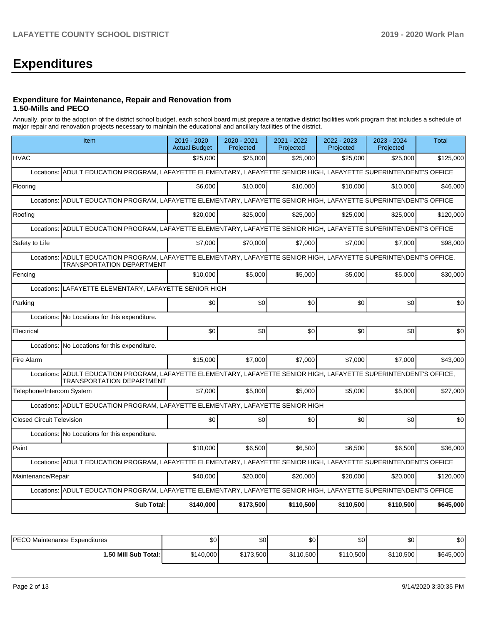# **Expenditures**

### **Expenditure for Maintenance, Repair and Renovation from 1.50-Mills and PECO**

Annually, prior to the adoption of the district school budget, each school board must prepare a tentative district facilities work program that includes a schedule of major repair and renovation projects necessary to maintain the educational and ancillary facilities of the district.

|                                  | Item                                                                                                                                                    | 2019 - 2020<br><b>Actual Budget</b> | 2020 - 2021<br>Projected | 2021 - 2022<br>Projected | 2022 - 2023<br>Projected | 2023 - 2024<br>Projected | <b>Total</b> |  |  |  |
|----------------------------------|---------------------------------------------------------------------------------------------------------------------------------------------------------|-------------------------------------|--------------------------|--------------------------|--------------------------|--------------------------|--------------|--|--|--|
| <b>HVAC</b>                      |                                                                                                                                                         | \$25,000                            | \$25,000                 | \$25,000                 | \$25,000                 | \$25,000                 | \$125,000    |  |  |  |
| Locations:                       | ADULT EDUCATION PROGRAM, LAFAYETTE ELEMENTARY, LAFAYETTE SENIOR HIGH, LAFAYETTE SUPERINTENDENT'S OFFICE                                                 |                                     |                          |                          |                          |                          |              |  |  |  |
| Flooring                         |                                                                                                                                                         | \$6.000                             | \$10,000                 | \$10,000                 | \$10,000                 | \$10,000                 | \$46,000     |  |  |  |
|                                  | Locations: ADULT EDUCATION PROGRAM, LAFAYETTE ELEMENTARY, LAFAYETTE SENIOR HIGH, LAFAYETTE SUPERINTENDENT'S OFFICE                                      |                                     |                          |                          |                          |                          |              |  |  |  |
| Roofing                          |                                                                                                                                                         | \$20,000                            | \$25,000                 | \$25,000                 | \$25,000                 | \$25,000                 | \$120,000    |  |  |  |
| Locations:                       | ADULT EDUCATION PROGRAM, LAFAYETTE ELEMENTARY, LAFAYETTE SENIOR HIGH, LAFAYETTE SUPERINTENDENT'S OFFICE                                                 |                                     |                          |                          |                          |                          |              |  |  |  |
| Safety to Life                   |                                                                                                                                                         | \$7.000                             | \$70,000                 | \$7,000                  | \$7,000                  | \$7,000                  | \$98,000     |  |  |  |
|                                  | Locations: ADULT EDUCATION PROGRAM, LAFAYETTE ELEMENTARY, LAFAYETTE SENIOR HIGH, LAFAYETTE SUPERINTENDENT'S OFFICE,<br><b>TRANSPORTATION DEPARTMENT</b> |                                     |                          |                          |                          |                          |              |  |  |  |
| Fencing                          |                                                                                                                                                         | \$10,000                            | \$5,000                  | \$5,000                  | \$5,000                  | \$5,000                  | \$30,000     |  |  |  |
|                                  | Locations: LAFAYETTE ELEMENTARY, LAFAYETTE SENIOR HIGH                                                                                                  |                                     |                          |                          |                          |                          |              |  |  |  |
| Parking                          |                                                                                                                                                         | \$0                                 | \$0                      | \$0                      | \$0                      | \$0                      | \$0          |  |  |  |
|                                  | Locations: No Locations for this expenditure.                                                                                                           |                                     |                          |                          |                          |                          |              |  |  |  |
| Electrical                       |                                                                                                                                                         | \$0                                 | \$0                      | \$0                      | \$0                      | \$0                      | \$0          |  |  |  |
|                                  | Locations: No Locations for this expenditure.                                                                                                           |                                     |                          |                          |                          |                          |              |  |  |  |
| Fire Alarm                       |                                                                                                                                                         | \$15,000                            | \$7,000                  | \$7,000                  | \$7,000                  | \$7,000                  | \$43,000     |  |  |  |
|                                  | Locations: ADULT EDUCATION PROGRAM, LAFAYETTE ELEMENTARY, LAFAYETTE SENIOR HIGH, LAFAYETTE SUPERINTENDENT'S OFFICE,<br><b>TRANSPORTATION DEPARTMENT</b> |                                     |                          |                          |                          |                          |              |  |  |  |
| Telephone/Intercom System        |                                                                                                                                                         | \$7,000                             | \$5,000                  | \$5,000                  | \$5,000                  | \$5,000                  | \$27,000     |  |  |  |
|                                  | Locations: ADULT EDUCATION PROGRAM, LAFAYETTE ELEMENTARY, LAFAYETTE SENIOR HIGH                                                                         |                                     |                          |                          |                          |                          |              |  |  |  |
| <b>Closed Circuit Television</b> |                                                                                                                                                         | \$0                                 | \$0                      | \$0                      | \$0                      | \$0                      | \$0          |  |  |  |
|                                  | Locations: No Locations for this expenditure.                                                                                                           |                                     |                          |                          |                          |                          |              |  |  |  |
| Paint                            |                                                                                                                                                         | \$10,000                            | \$6.500                  | \$6.500                  | \$6.500                  | \$6.500                  | \$36,000     |  |  |  |
|                                  | Locations: ADULT EDUCATION PROGRAM, LAFAYETTE ELEMENTARY, LAFAYETTE SENIOR HIGH, LAFAYETTE SUPERINTENDENT'S OFFICE                                      |                                     |                          |                          |                          |                          |              |  |  |  |
| Maintenance/Repair               |                                                                                                                                                         | \$40,000                            | \$20,000                 | \$20,000                 | \$20,000                 | \$20,000                 | \$120,000    |  |  |  |
|                                  | Locations: ADULT EDUCATION PROGRAM, LAFAYETTE ELEMENTARY, LAFAYETTE SENIOR HIGH, LAFAYETTE SUPERINTENDENT'S OFFICE                                      |                                     |                          |                          |                          |                          |              |  |  |  |
|                                  | <b>Sub Total:</b>                                                                                                                                       | \$140,000                           | \$173,500                | \$110,500                | \$110,500                | \$110,500                | \$645,000    |  |  |  |

| <b>IPECO Maintenance Expenditures</b> | \$0       | \$0       | \$0       | \$0       | \$0       | \$0       |
|---------------------------------------|-----------|-----------|-----------|-----------|-----------|-----------|
| 1.50 Mill Sub Total:                  | \$140,000 | \$173,500 | \$110,500 | \$110,500 | \$110,500 | \$645,000 |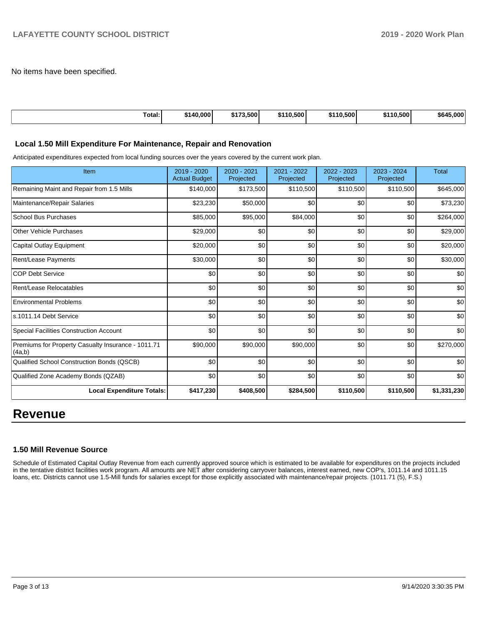No items have been specified.

| Total: | \$140.000 | /3.500'<br>ホィラク | \$110.500 | .0.500<br><b>C440</b> | 10.500 l<br>$\cdots$ | .000<br>\$64' |
|--------|-----------|-----------------|-----------|-----------------------|----------------------|---------------|

#### **Local 1.50 Mill Expenditure For Maintenance, Repair and Renovation**

Anticipated expenditures expected from local funding sources over the years covered by the current work plan.

| Item                                                         | $2019 - 2020$<br><b>Actual Budget</b> | $2020 - 2021$<br>Projected | 2021 - 2022<br>Projected | 2022 - 2023<br>Projected | 2023 - 2024<br>Projected | <b>Total</b> |
|--------------------------------------------------------------|---------------------------------------|----------------------------|--------------------------|--------------------------|--------------------------|--------------|
| Remaining Maint and Repair from 1.5 Mills                    | \$140,000                             | \$173,500                  | \$110,500                | \$110,500                | \$110,500                | \$645,000    |
| Maintenance/Repair Salaries                                  | \$23,230                              | \$50,000                   | \$0                      | \$0                      | \$0                      | \$73,230     |
| <b>School Bus Purchases</b>                                  | \$85,000                              | \$95,000                   | \$84,000                 | \$0                      | \$0                      | \$264,000    |
| <b>Other Vehicle Purchases</b>                               | \$29,000                              | \$0                        | \$0                      | \$0                      | \$0                      | \$29,000     |
| Capital Outlay Equipment                                     | \$20,000                              | \$0                        | \$0                      | \$0                      | \$0                      | \$20,000     |
| Rent/Lease Payments                                          | \$30,000                              | \$0                        | \$0                      | \$0                      | \$0                      | \$30,000     |
| <b>COP Debt Service</b>                                      | \$0                                   | \$0                        | \$0                      | \$0                      | \$0                      | \$0          |
| Rent/Lease Relocatables                                      | \$0                                   | \$0                        | \$0                      | \$0                      | \$0                      | \$0          |
| <b>Environmental Problems</b>                                | \$0                                   | \$0                        | \$0                      | \$0                      | \$0                      | \$0          |
| s.1011.14 Debt Service                                       | \$0                                   | \$0                        | \$0                      | \$0                      | \$0                      | \$0          |
| <b>Special Facilities Construction Account</b>               | \$0                                   | \$0                        | \$0                      | \$0                      | \$0                      | \$0          |
| Premiums for Property Casualty Insurance - 1011.71<br>(4a,b) | \$90,000                              | \$90,000                   | \$90,000                 | \$0                      | \$0                      | \$270,000    |
| Qualified School Construction Bonds (QSCB)                   | \$0                                   | \$0                        | \$0                      | \$0                      | \$0                      | \$0          |
| Qualified Zone Academy Bonds (QZAB)                          | \$0                                   | \$0                        | \$0                      | \$0                      | \$0                      | \$0          |
| <b>Local Expenditure Totals:</b>                             | \$417,230                             | \$408,500                  | \$284,500                | \$110,500                | \$110,500                | \$1,331,230  |

# **Revenue**

#### **1.50 Mill Revenue Source**

Schedule of Estimated Capital Outlay Revenue from each currently approved source which is estimated to be available for expenditures on the projects included in the tentative district facilities work program. All amounts are NET after considering carryover balances, interest earned, new COP's, 1011.14 and 1011.15 loans, etc. Districts cannot use 1.5-Mill funds for salaries except for those explicitly associated with maintenance/repair projects. (1011.71 (5), F.S.)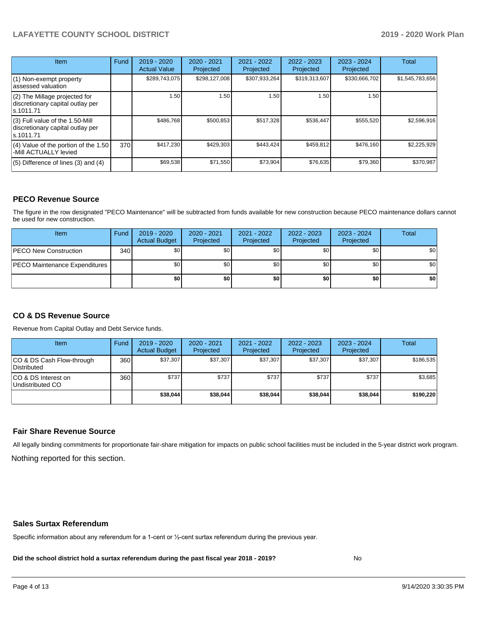# **LAFAYETTE COUNTY SCHOOL DISTRICT 2019 - 2020 Work Plan**

| Item                                                                                | Fund | $2019 - 2020$<br><b>Actual Value</b> | $2020 - 2021$<br>Projected | 2021 - 2022<br>Projected | $2022 - 2023$<br>Projected | $2023 - 2024$<br>Projected | Total           |
|-------------------------------------------------------------------------------------|------|--------------------------------------|----------------------------|--------------------------|----------------------------|----------------------------|-----------------|
| $(1)$ Non-exempt property<br>lassessed valuation                                    |      | \$289,743,075                        | \$298,127,008              | \$307,933,264            | \$319,313,607              | \$330,666,702              | \$1,545,783,656 |
| (2) The Millage projected for<br>discretionary capital outlay per<br>ls.1011.71     |      | 1.50                                 | 1.50                       | 1.50                     | 1.50                       | 1.50                       |                 |
| $(3)$ Full value of the 1.50-Mill<br>discretionary capital outlay per<br>ls.1011.71 |      | \$486,768                            | \$500,853                  | \$517,328                | \$536,447                  | \$555,520                  | \$2,596,916     |
| $(4)$ Value of the portion of the 1.50<br>-Mill ACTUALLY levied                     | 370I | \$417,230                            | \$429,303                  | \$443,424                | \$459,812                  | \$476,160                  | \$2,225,929     |
| $(5)$ Difference of lines $(3)$ and $(4)$                                           |      | \$69,538                             | \$71,550                   | \$73.904                 | \$76,635                   | \$79,360                   | \$370,987       |

# **PECO Revenue Source**

The figure in the row designated "PECO Maintenance" will be subtracted from funds available for new construction because PECO maintenance dollars cannot be used for new construction.

| Item                                 | Fund | 2019 - 2020<br><b>Actual Budget</b> | 2020 - 2021<br>Projected | 2021 - 2022<br>Projected | 2022 - 2023<br>Projected | 2023 - 2024<br>Projected | Total            |
|--------------------------------------|------|-------------------------------------|--------------------------|--------------------------|--------------------------|--------------------------|------------------|
| <b>IPECO New Construction</b>        | 340  | \$0 <sub>1</sub>                    | \$0 <sub>1</sub>         | \$0                      | \$0                      | \$0                      | \$0 <sub>1</sub> |
| <b>PECO Maintenance Expenditures</b> |      | \$0 <sub>1</sub>                    | \$0                      | \$0                      | \$0                      | \$0                      | \$0 <sub>1</sub> |
|                                      |      | \$0                                 | \$0                      | \$0                      | \$0                      | \$0                      | \$0              |

# **CO & DS Revenue Source**

Revenue from Capital Outlay and Debt Service funds.

| Item                                      | Fund  | $2019 - 2020$<br><b>Actual Budget</b> | 2020 - 2021<br>Projected | 2021 - 2022<br>Projected | $2022 - 2023$<br>Projected | $2023 - 2024$<br>Projected | <b>Total</b> |
|-------------------------------------------|-------|---------------------------------------|--------------------------|--------------------------|----------------------------|----------------------------|--------------|
| ICO & DS Cash Flow-through<br>Distributed | 360 l | \$37,307                              | \$37.307                 | \$37.307                 | \$37.307                   | \$37,307                   | \$186.535    |
| ICO & DS Interest on<br>Undistributed CO  | 360   | \$737                                 | \$737                    | \$737                    | \$737                      | \$737                      | \$3,685      |
|                                           |       | \$38,044                              | \$38,044                 | \$38.044                 | \$38,044                   | \$38,044                   | \$190.220    |

### **Fair Share Revenue Source**

Nothing reported for this section. All legally binding commitments for proportionate fair-share mitigation for impacts on public school facilities must be included in the 5-year district work program.

#### **Sales Surtax Referendum**

Specific information about any referendum for a 1-cent or ½-cent surtax referendum during the previous year.

**Did the school district hold a surtax referendum during the past fiscal year 2018 - 2019?**

No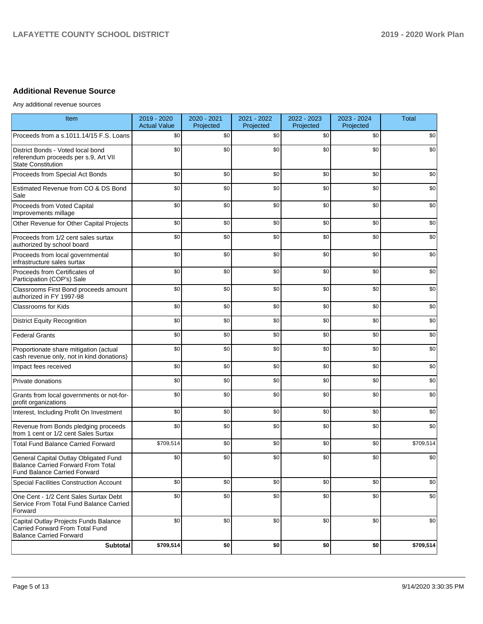# **Additional Revenue Source**

Any additional revenue sources

| Item                                                                                                                      | 2019 - 2020<br><b>Actual Value</b> | 2020 - 2021<br>Projected | 2021 - 2022<br>Projected | 2022 - 2023<br>Projected | 2023 - 2024<br>Projected | <b>Total</b> |
|---------------------------------------------------------------------------------------------------------------------------|------------------------------------|--------------------------|--------------------------|--------------------------|--------------------------|--------------|
| Proceeds from a s.1011.14/15 F.S. Loans                                                                                   | \$0                                | \$0                      | \$0                      | \$0                      | \$0                      | \$0          |
| District Bonds - Voted local bond<br>referendum proceeds per s.9, Art VII<br><b>State Constitution</b>                    | \$0                                | \$0                      | \$0                      | \$0                      | \$0                      | \$0          |
| Proceeds from Special Act Bonds                                                                                           | \$0                                | \$0                      | \$0                      | \$0                      | \$0                      | \$0          |
| Estimated Revenue from CO & DS Bond<br>Sale                                                                               | \$0                                | \$0                      | \$0                      | \$0                      | \$0                      | \$0          |
| Proceeds from Voted Capital<br>Improvements millage                                                                       | \$0                                | \$0                      | \$0                      | \$0                      | \$0                      | \$0          |
| Other Revenue for Other Capital Projects                                                                                  | \$0                                | \$0                      | \$0                      | \$0                      | \$0                      | \$0          |
| Proceeds from 1/2 cent sales surtax<br>authorized by school board                                                         | \$0                                | \$0                      | \$0                      | \$0                      | \$0                      | \$0          |
| Proceeds from local governmental<br>infrastructure sales surtax                                                           | \$0                                | \$0                      | \$0                      | \$0                      | \$0                      | \$0          |
| Proceeds from Certificates of<br>Participation (COP's) Sale                                                               | \$0                                | \$0                      | \$0                      | \$0                      | \$0                      | \$0          |
| Classrooms First Bond proceeds amount<br>authorized in FY 1997-98                                                         | \$0                                | \$0                      | \$0                      | \$0                      | \$0                      | \$0          |
| <b>Classrooms for Kids</b>                                                                                                | \$0                                | \$0                      | \$0                      | \$0                      | \$0                      | \$0          |
| <b>District Equity Recognition</b>                                                                                        | \$0                                | \$0                      | \$0                      | \$0                      | \$0                      | \$0          |
| <b>Federal Grants</b>                                                                                                     | \$0                                | \$0                      | \$0                      | \$0                      | \$0                      | \$0          |
| Proportionate share mitigation (actual<br>cash revenue only, not in kind donations)                                       | \$0                                | \$0                      | \$0                      | \$0                      | \$0                      | \$0          |
| Impact fees received                                                                                                      | \$0                                | \$0                      | \$0                      | \$0                      | \$0                      | \$0          |
| Private donations                                                                                                         | \$0                                | \$0                      | \$0                      | \$0                      | \$0                      | \$0          |
| Grants from local governments or not-for-<br>profit organizations                                                         | \$0                                | \$0                      | \$0                      | \$0                      | \$0                      | \$0          |
| Interest, Including Profit On Investment                                                                                  | \$0                                | \$0                      | \$0                      | \$0                      | \$0                      | \$0          |
| Revenue from Bonds pledging proceeds<br>from 1 cent or 1/2 cent Sales Surtax                                              | \$0                                | \$0                      | \$0                      | \$0                      | \$0                      | \$0          |
| <b>Total Fund Balance Carried Forward</b>                                                                                 | \$709,514                          | \$0                      | \$0                      | \$0                      | \$0                      | \$709,514    |
| General Capital Outlay Obligated Fund<br><b>Balance Carried Forward From Total</b><br><b>Fund Balance Carried Forward</b> | \$0                                | \$0                      | \$0                      | \$0                      | \$0                      | \$0          |
| Special Facilities Construction Account                                                                                   | \$0                                | \$0                      | \$0                      | \$0                      | \$0                      | \$0          |
| One Cent - 1/2 Cent Sales Surtax Debt<br>Service From Total Fund Balance Carried<br>Forward                               | \$0                                | \$0                      | \$0                      | \$0                      | \$0                      | \$0          |
| Capital Outlay Projects Funds Balance<br>Carried Forward From Total Fund<br><b>Balance Carried Forward</b>                | \$0                                | \$0                      | \$0                      | \$0                      | \$0                      | \$0          |
| <b>Subtotal</b>                                                                                                           | \$709,514                          | \$0                      | \$0                      | \$0                      | \$0                      | \$709,514    |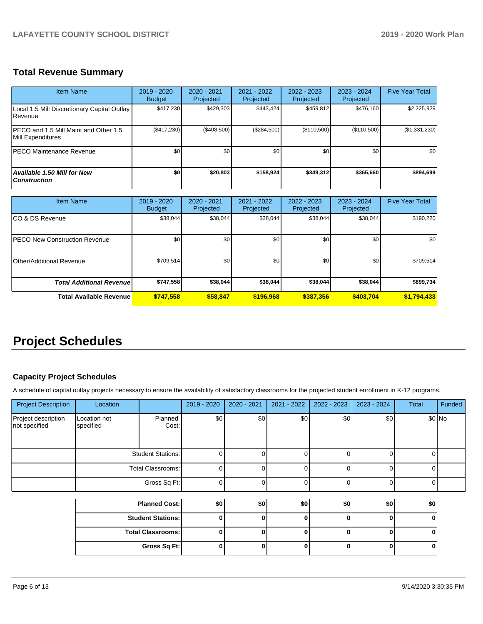# **Total Revenue Summary**

| <b>Item Name</b>                                            | $2019 - 2020$<br><b>Budget</b> | $2020 - 2021$<br>Projected | 2021 - 2022<br>Projected | 2022 - 2023<br>Projected | $2023 - 2024$<br>Projected | <b>Five Year Total</b> |
|-------------------------------------------------------------|--------------------------------|----------------------------|--------------------------|--------------------------|----------------------------|------------------------|
| Local 1.5 Mill Discretionary Capital Outlay<br>l Revenue    | \$417,230                      | \$429.303                  | \$443.424                | \$459,812                | \$476,160                  | \$2,225,929            |
| IPECO and 1.5 Mill Maint and Other 1.5<br>Mill Expenditures | (\$417,230)                    | (\$408,500)                | (\$284.500)              | (\$110,500)              | (\$110,500)                | (\$1,331,230)          |
| <b>IPECO Maintenance Revenue</b>                            | \$0                            | \$0 <sub>1</sub>           | \$0                      | \$0                      | \$0                        | \$0                    |
| <b>Available 1.50 Mill for New</b><br><b>Construction</b>   | \$0                            | \$20,803                   | \$158.924                | \$349.312                | \$365,660                  | \$894,699              |

| <b>Item Name</b>                      | $2019 - 2020$<br><b>Budget</b> | 2020 - 2021<br>Projected | 2021 - 2022<br>Projected | 2022 - 2023<br>Projected | 2023 - 2024<br>Projected | <b>Five Year Total</b> |
|---------------------------------------|--------------------------------|--------------------------|--------------------------|--------------------------|--------------------------|------------------------|
| ICO & DS Revenue                      | \$38,044                       | \$38,044                 | \$38,044                 | \$38,044                 | \$38,044                 | \$190,220              |
| <b>IPECO New Construction Revenue</b> | \$0                            | \$0                      | \$0                      | \$0                      | \$0                      | \$0                    |
| Other/Additional Revenue              | \$709,514                      | \$0                      | \$0                      | \$0                      | \$0                      | \$709,514              |
| <b>Total Additional Revenue</b>       | \$747,558                      | \$38,044                 | \$38,044                 | \$38,044                 | \$38,044                 | \$899,734              |
| <b>Total Available Revenue</b>        | \$747,558                      | \$58,847                 | \$196.968                | \$387,356                | \$403.704                | \$1,794,433            |

# **Project Schedules**

# **Capacity Project Schedules**

A schedule of capital outlay projects necessary to ensure the availability of satisfactory classrooms for the projected student enrollment in K-12 programs.

| <b>Project Description</b>           | Location                  |                                                     | $2019 - 2020$ | 2020 - 2021 | $2021 - 2022$ | 2022 - 2023 | 2023 - 2024 | <b>Total</b> | Funded |
|--------------------------------------|---------------------------|-----------------------------------------------------|---------------|-------------|---------------|-------------|-------------|--------------|--------|
| Project description<br>not specified | Location not<br>specified | Planned<br>Cost:                                    | \$0           | \$0         | \$0           | \$0         | \$0         |              | \$0 No |
|                                      | <b>Student Stations:</b>  |                                                     |               |             |               | 01          |             |              |        |
|                                      | Total Classrooms:         |                                                     |               |             |               |             |             |              |        |
|                                      |                           | Gross Sq Ft:                                        |               |             |               |             |             |              |        |
|                                      |                           |                                                     |               |             |               |             |             |              |        |
|                                      |                           | $\mathbf{m}$ $\mathbf{m}$ $\mathbf{m}$ $\mathbf{m}$ | $\sim$        | $\sim$      | $\sim$        | $\sim$      | $\sim$      | $\sim$       |        |

| <b>Planned Cost:</b>     | \$0 | \$0 | \$0 | \$0 | \$0 | ا 30 |
|--------------------------|-----|-----|-----|-----|-----|------|
| <b>Student Stations:</b> |     |     |     |     |     |      |
| <b>Total Classrooms:</b> |     |     |     |     |     |      |
| Gross Sq Ft:             |     |     |     |     |     |      |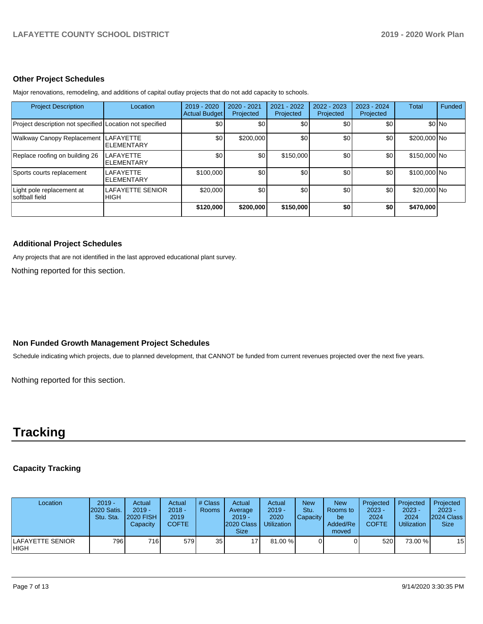#### **Other Project Schedules**

Major renovations, remodeling, and additions of capital outlay projects that do not add capacity to schools.

| <b>Project Description</b>                               | Location                                | 2019 - 2020<br><b>Actual Budget</b> | 2020 - 2021<br>Projected | 2021 - 2022<br>Projected | $2022 - 2023$<br>Projected | $2023 - 2024$<br>Projected | Total        | <b>Funded</b> |
|----------------------------------------------------------|-----------------------------------------|-------------------------------------|--------------------------|--------------------------|----------------------------|----------------------------|--------------|---------------|
| Project description not specified Location not specified |                                         | \$0                                 | <b>\$01</b>              | \$0                      | \$0                        | \$0                        |              | \$0 No        |
| Walkway Canopy Replacement                               | <b>LAFAYETTE</b><br><b>ELEMENTARY</b>   | \$0                                 | \$200,000                | \$0                      | \$0                        | \$0                        | \$200,000 No |               |
| Replace roofing on building 26                           | <b>LAFAYETTE</b><br><b>ELEMENTARY</b>   | \$0 <sub>1</sub>                    | \$0 <sub>1</sub>         | \$150,000                | \$0                        | \$0                        | \$150,000 No |               |
| Sports courts replacement                                | <b>LAFAYETTE</b><br><b>I</b> ELEMENTARY | \$100,000                           | \$0                      | \$0                      | \$0                        | \$0 <sub>1</sub>           | \$100,000 No |               |
| Light pole replacement at<br>Isoftball field             | <b>LAFAYETTE SENIOR</b><br><b>HIGH</b>  | \$20,000                            | \$0 <sub>1</sub>         | \$0 <sub>1</sub>         | \$0                        | \$0                        | \$20,000 No  |               |
|                                                          |                                         | \$120,000                           | \$200,000                | \$150,000                | \$0                        | \$0                        | \$470,000    |               |

#### **Additional Project Schedules**

Any projects that are not identified in the last approved educational plant survey.

Nothing reported for this section.

### **Non Funded Growth Management Project Schedules**

Schedule indicating which projects, due to planned development, that CANNOT be funded from current revenues projected over the next five years.

Nothing reported for this section.

# **Tracking**

# **Capacity Tracking**

| Location                   | $2019 -$<br><b>2020 Satis.</b><br>Stu. Sta. | Actual<br>$2019 -$<br><b>2020 FISH</b><br>Capacity | Actual<br>$2018 -$<br>2019<br><b>COFTE</b> | # Class<br><b>Rooms</b> | Actual<br>Average<br>$2019 -$<br>2020 Class<br><b>Size</b> | Actual<br>$2019 -$<br>2020<br><b>Utilization</b> | <b>New</b><br>Stu.<br>Capacity | <b>New</b><br>Rooms to<br>be<br>Added/Re<br>moved | Projected<br>$2023 -$<br>2024<br><b>COFTE</b> | Projected<br>$2023 -$<br>2024<br><b>Utilization</b> | Projected<br>$2023 -$<br><b>2024 Class</b><br><b>Size</b> |
|----------------------------|---------------------------------------------|----------------------------------------------------|--------------------------------------------|-------------------------|------------------------------------------------------------|--------------------------------------------------|--------------------------------|---------------------------------------------------|-----------------------------------------------|-----------------------------------------------------|-----------------------------------------------------------|
| ILAFAYETTE SENIOR<br>IHIGH | 796 I                                       | 716 <b>1</b>                                       | 579                                        | 35 <sub>1</sub>         | 17 <sup>1</sup>                                            | 81.00 %                                          |                                |                                                   | 520                                           | 73.00 %                                             | 15                                                        |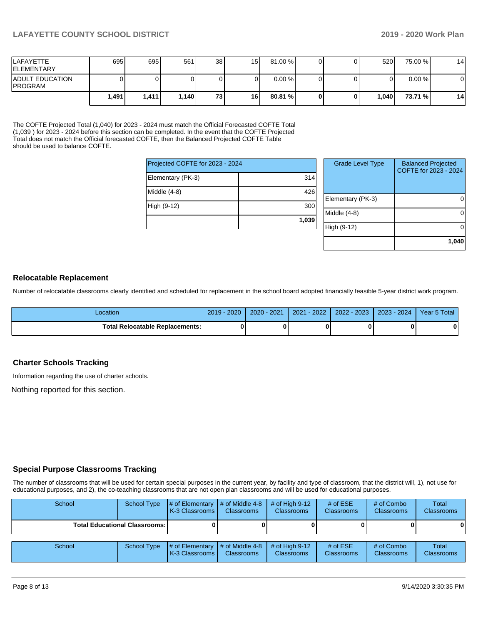# **LAFAYETTE COUNTY SCHOOL DISTRICT 2019 - 2020 Work Plan**

| <b>LAFAYETTE</b><br><b>IELEMENTARY</b>   | 695 <sup>I</sup> | 695                | 561     | 38 <sup>l</sup> | 15 | 81.00 % |  | 520   | 75.00 %   | 14 |
|------------------------------------------|------------------|--------------------|---------|-----------------|----|---------|--|-------|-----------|----|
| <b>ADULT EDUCATION</b><br><b>PROGRAM</b> |                  |                    |         |                 |    | 0.00%   |  |       | $0.00 \%$ | 0  |
|                                          | 1.491 l          | 1.411 <sub>1</sub> | 1.140 l | 731             | 16 | 80.81 % |  | 1.040 | 73.71 %   | 14 |

The COFTE Projected Total (1,040) for 2023 - 2024 must match the Official Forecasted COFTE Total (1,039 ) for 2023 - 2024 before this section can be completed. In the event that the COFTE Projected Total does not match the Official forecasted COFTE, then the Balanced Projected COFTE Table should be used to balance COFTE.

| High (9-12)                     | 300<br>1,039 |  |  |  |  |  |
|---------------------------------|--------------|--|--|--|--|--|
| Middle (4-8)                    | 426          |  |  |  |  |  |
| Elementary (PK-3)               | 314          |  |  |  |  |  |
| Projected COFTE for 2023 - 2024 |              |  |  |  |  |  |

| <b>Grade Level Type</b> | <b>Balanced Projected</b><br>COFTE for 2023 - 2024 |
|-------------------------|----------------------------------------------------|
| Elementary (PK-3)       |                                                    |
| Middle (4-8)            |                                                    |
| High (9-12)             |                                                    |
|                         | 1,040                                              |

# **Relocatable Replacement**

Number of relocatable classrooms clearly identified and scheduled for replacement in the school board adopted financially feasible 5-year district work program.

| Location                               | $2019 - 2020$ | $2020 - 2021$ | $-2022'$<br>2021 | $2022 - 2023$ | $2023 - 2024$ | Year 5 Total |
|----------------------------------------|---------------|---------------|------------------|---------------|---------------|--------------|
| <b>Total Relocatable Replacements:</b> |               |               |                  |               |               |              |

# **Charter Schools Tracking**

Information regarding the use of charter schools.

Nothing reported for this section.

### **Special Purpose Classrooms Tracking**

The number of classrooms that will be used for certain special purposes in the current year, by facility and type of classroom, that the district will, 1), not use for educational purposes, and 2), the co-teaching classrooms that are not open plan classrooms and will be used for educational purposes.

| School | School Type                            | # of Elementary<br>K-3 Classrooms                               | $\#$ of Middle 4-8<br><b>Classrooms</b> | # of High $9-12$<br><b>Classrooms</b> | # of $ESE$<br><b>Classrooms</b> | # of Combo<br><b>Classrooms</b> | Total<br><b>Classrooms</b> |
|--------|----------------------------------------|-----------------------------------------------------------------|-----------------------------------------|---------------------------------------|---------------------------------|---------------------------------|----------------------------|
|        | <b>Total Educational Classrooms: I</b> |                                                                 |                                         |                                       |                                 |                                 | 0                          |
| School | School Type                            | $\sharp$ of Elementary $\sharp$ of Middle 4-8<br>K-3 Classrooms | <b>Classrooms</b>                       | # of High $9-12$<br><b>Classrooms</b> | # of $ESE$<br><b>Classrooms</b> | # of Combo<br><b>Classrooms</b> | Total<br><b>Classrooms</b> |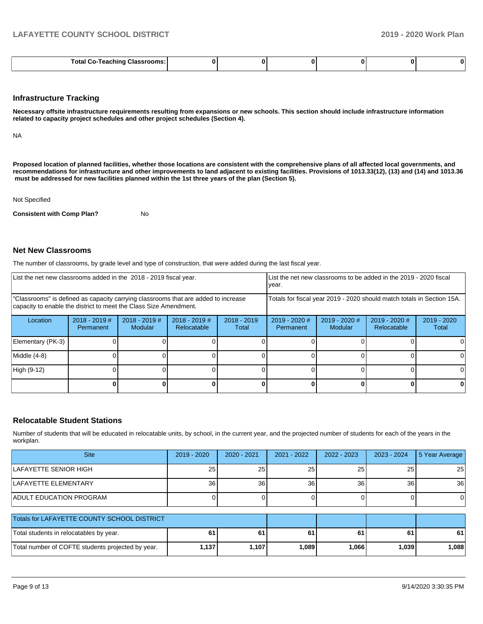|--|--|--|--|--|--|--|

#### **Infrastructure Tracking**

**Necessary offsite infrastructure requirements resulting from expansions or new schools. This section should include infrastructure information related to capacity project schedules and other project schedules (Section 4).** 

NA

**Proposed location of planned facilities, whether those locations are consistent with the comprehensive plans of all affected local governments, and recommendations for infrastructure and other improvements to land adjacent to existing facilities. Provisions of 1013.33(12), (13) and (14) and 1013.36 must be addressed for new facilities planned within the 1st three years of the plan (Section 5).** 

Not Specified

**Consistent with Comp Plan?** No

#### **Net New Classrooms**

The number of classrooms, by grade level and type of construction, that were added during the last fiscal year.

| List the net new classrooms added in the 2018 - 2019 fiscal year.                                                                                       |                              |                                   |                                |                        | List the net new classrooms to be added in the 2019 - 2020 fiscal<br>year. |                        |  |  |  |
|---------------------------------------------------------------------------------------------------------------------------------------------------------|------------------------------|-----------------------------------|--------------------------------|------------------------|----------------------------------------------------------------------------|------------------------|--|--|--|
| "Classrooms" is defined as capacity carrying classrooms that are added to increase<br>capacity to enable the district to meet the Class Size Amendment. |                              |                                   |                                |                        | Totals for fiscal year 2019 - 2020 should match totals in Section 15A.     |                        |  |  |  |
| Location                                                                                                                                                | $2018 - 2019$ #<br>Permanent | $2018 - 2019$ #<br><b>Modular</b> | $2018 - 2019$ #<br>Relocatable | $2018 - 2019$<br>Total | $2019 - 2020$ #<br>Permanent                                               | $2019 - 2020$<br>Total |  |  |  |
| Elementary (PK-3)                                                                                                                                       |                              |                                   |                                |                        |                                                                            |                        |  |  |  |
| Middle (4-8)                                                                                                                                            |                              |                                   |                                |                        |                                                                            |                        |  |  |  |
| High (9-12)                                                                                                                                             |                              |                                   |                                |                        |                                                                            |                        |  |  |  |
|                                                                                                                                                         |                              |                                   |                                |                        |                                                                            |                        |  |  |  |

### **Relocatable Student Stations**

Number of students that will be educated in relocatable units, by school, in the current year, and the projected number of students for each of the years in the workplan.

| <b>Site</b>                                 | $2019 - 2020$ | $2020 - 2021$   | 2021 - 2022 | 2022 - 2023     | $2023 - 2024$ | 5 Year Average |  |
|---------------------------------------------|---------------|-----------------|-------------|-----------------|---------------|----------------|--|
| ILAFAYETTE SENIOR HIGH                      | 25            | 25              | 25          | 25              | 25            | 25             |  |
| LAFAYETTE ELEMENTARY                        | 36            | 36 <sup>1</sup> | 36          | 36 <sub>1</sub> | 36            | 36             |  |
| <b>ADULT EDUCATION PROGRAM</b>              |               |                 |             |                 |               | 0              |  |
|                                             |               |                 |             |                 |               |                |  |
| Totals for LAFAYETTE COUNTY SCHOOL DISTRICT |               |                 |             |                 |               |                |  |
| Total students in relocatables by year.     | 61            |                 | 61          | 61              | 61            | 61             |  |

Total number of COFTE students projected by year. **1,137 1,107 1,089 1,066 1,039 1,088**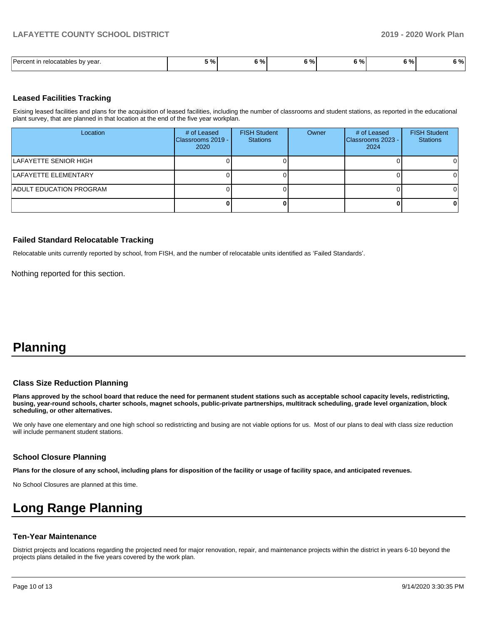| $\overline{\phantom{0}}$<br>l Darcant<br>∵vear.<br>relocatables by | $\mathbf{a}$<br>,,,, | $\sim$<br>70.<br> | . .<br>- | 70 I | . n/<br>7٥ | $\overline{a}$<br>70' |
|--------------------------------------------------------------------|----------------------|-------------------|----------|------|------------|-----------------------|

#### **Leased Facilities Tracking**

Exising leased facilities and plans for the acquisition of leased facilities, including the number of classrooms and student stations, as reported in the educational plant survey, that are planned in that location at the end of the five year workplan.

| Location                       | # of Leased<br>Classrooms 2019 - I<br>2020 | <b>FISH Student</b><br><b>Stations</b> | Owner | # of Leased<br>Classrooms 2023 -<br>2024 | <b>FISH Student</b><br><b>Stations</b> |
|--------------------------------|--------------------------------------------|----------------------------------------|-------|------------------------------------------|----------------------------------------|
| LAFAYETTE SENIOR HIGH          |                                            |                                        |       |                                          | ΩI                                     |
| LAFAYETTE ELEMENTARY           |                                            |                                        |       |                                          | $\Omega$                               |
| <b>ADULT EDUCATION PROGRAM</b> |                                            |                                        |       |                                          | $\Omega$                               |
|                                |                                            |                                        |       |                                          | 0                                      |

# **Failed Standard Relocatable Tracking**

Relocatable units currently reported by school, from FISH, and the number of relocatable units identified as 'Failed Standards'.

Nothing reported for this section.

# **Planning**

#### **Class Size Reduction Planning**

**Plans approved by the school board that reduce the need for permanent student stations such as acceptable school capacity levels, redistricting, busing, year-round schools, charter schools, magnet schools, public-private partnerships, multitrack scheduling, grade level organization, block scheduling, or other alternatives.**

We only have one elementary and one high school so redistricting and busing are not viable options for us. Most of our plans to deal with class size reduction will include permanent student stations.

#### **School Closure Planning**

**Plans for the closure of any school, including plans for disposition of the facility or usage of facility space, and anticipated revenues.** 

No School Closures are planned at this time.

# **Long Range Planning**

### **Ten-Year Maintenance**

District projects and locations regarding the projected need for major renovation, repair, and maintenance projects within the district in years 6-10 beyond the projects plans detailed in the five years covered by the work plan.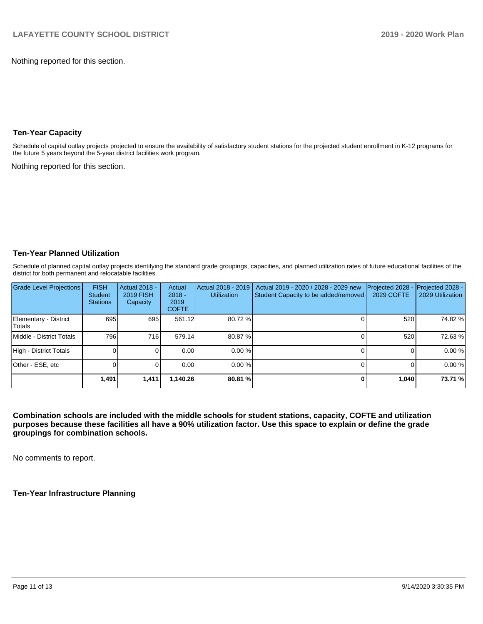Nothing reported for this section.

#### **Ten-Year Capacity**

Schedule of capital outlay projects projected to ensure the availability of satisfactory student stations for the projected student enrollment in K-12 programs for the future 5 years beyond the 5-year district facilities work program.

Nothing reported for this section.

### **Ten-Year Planned Utilization**

Schedule of planned capital outlay projects identifying the standard grade groupings, capacities, and planned utilization rates of future educational facilities of the district for both permanent and relocatable facilities.

| <b>Grade Level Projections</b>   | <b>FISH</b><br>Student<br><b>Stations</b> | <b>Actual 2018 -</b><br><b>2019 FISH</b><br>Capacity | Actual<br>$2018 -$<br>2019<br><b>COFTE</b> | Actual 2018 - 2019<br><b>Utilization</b> | Actual 2019 - 2020 / 2028 - 2029 new<br>Student Capacity to be added/removed | Projected 2028<br><b>2029 COFTE</b> | Projected 2028 -<br>2029 Utilization |
|----------------------------------|-------------------------------------------|------------------------------------------------------|--------------------------------------------|------------------------------------------|------------------------------------------------------------------------------|-------------------------------------|--------------------------------------|
| Elementary - District<br>lTotals | 695                                       | 695                                                  | 561.12                                     | 80.72 %                                  |                                                                              | 520                                 | 74.82 %                              |
| Middle - District Totals         | 796                                       | 716                                                  | 579.14                                     | 80.87%                                   |                                                                              | 520                                 | 72.63%                               |
| High - District Totals           |                                           |                                                      | 0.00                                       | 0.00%                                    |                                                                              |                                     | 0.00%                                |
| Other - ESE, etc                 |                                           |                                                      | 0.00                                       | $0.00 \%$                                |                                                                              |                                     | 0.00%                                |
|                                  | 1,491                                     | 1,411                                                | 1,140.26                                   | 80.81 %                                  |                                                                              | 1,040                               | 73.71 %                              |

**Combination schools are included with the middle schools for student stations, capacity, COFTE and utilization purposes because these facilities all have a 90% utilization factor. Use this space to explain or define the grade groupings for combination schools.** 

No comments to report.

**Ten-Year Infrastructure Planning**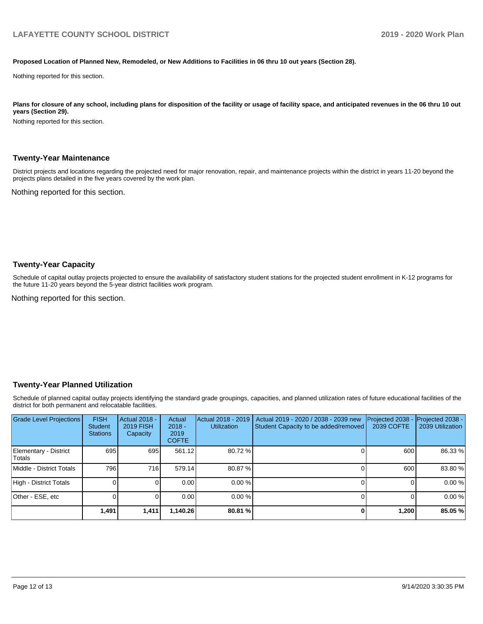#### **Proposed Location of Planned New, Remodeled, or New Additions to Facilities in 06 thru 10 out years (Section 28).**

Nothing reported for this section.

Plans for closure of any school, including plans for disposition of the facility or usage of facility space, and anticipated revenues in the 06 thru 10 out **years (Section 29).**

Nothing reported for this section.

#### **Twenty-Year Maintenance**

District projects and locations regarding the projected need for major renovation, repair, and maintenance projects within the district in years 11-20 beyond the projects plans detailed in the five years covered by the work plan.

Nothing reported for this section.

#### **Twenty-Year Capacity**

Schedule of capital outlay projects projected to ensure the availability of satisfactory student stations for the projected student enrollment in K-12 programs for the future 11-20 years beyond the 5-year district facilities work program.

Nothing reported for this section.

#### **Twenty-Year Planned Utilization**

Schedule of planned capital outlay projects identifying the standard grade groupings, capacities, and planned utilization rates of future educational facilities of the district for both permanent and relocatable facilities.

| <b>Grade Level Projections</b>   | <b>FISH</b><br><b>Student</b><br><b>Stations</b> | <b>Actual 2018 -</b><br><b>2019 FISH</b><br>Capacity | Actual<br>$2018 -$<br>2019<br><b>COFTE</b> | Actual 2018 - 2019<br><b>Utilization</b> | Actual 2019 - 2020 / 2038 - 2039 new<br>Student Capacity to be added/removed | Projected 2038<br><b>2039 COFTE</b> | <b>Projected 2038 -</b><br>2039 Utilization |
|----------------------------------|--------------------------------------------------|------------------------------------------------------|--------------------------------------------|------------------------------------------|------------------------------------------------------------------------------|-------------------------------------|---------------------------------------------|
| Elementary - District<br> Totals | 695                                              | 695                                                  | 561.12                                     | 80.72 %                                  |                                                                              | 600                                 | 86.33 %                                     |
| Middle - District Totals         | 796                                              | 716 <b>I</b>                                         | 579.14                                     | 80.87 %                                  |                                                                              | 600                                 | 83.80 %                                     |
| High - District Totals           |                                                  |                                                      | 0.00                                       | 0.00%                                    |                                                                              |                                     | 0.00%                                       |
| Other - ESE, etc                 |                                                  |                                                      | 0.00                                       | $0.00 \%$                                |                                                                              |                                     | 0.00%                                       |
|                                  | 1,491                                            | 1,411                                                | 1,140.26                                   | 80.81 %                                  |                                                                              | 1,200                               | 85.05 %                                     |